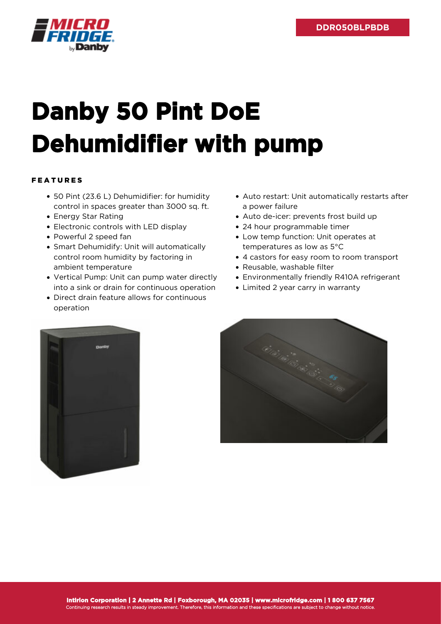

## **Danby 50 Pint DoE Dehumidifier with pump**

## FEATURES

- 50 Pint (23.6 L) Dehumidifier: for humidity control in spaces greater than 3000 sq. ft.
- Energy Star Rating
- Electronic controls with LED display
- Powerful 2 speed fan
- Smart Dehumidify: Unit will automatically control room humidity by factoring in ambient temperature
- Vertical Pump: Unit can pump water directly into a sink or drain for continuous operation
- Direct drain feature allows for continuous operation
- Auto restart: Unit automatically restarts after a power failure
- Auto de-icer: prevents frost build up
- 24 hour programmable timer
- Low temp function: Unit operates at temperatures as low as 5°C
- 4 castors for easy room to room transport
- Reusable, washable filter
- Environmentally friendly R410A refrigerant
- Limited 2 year carry in warranty